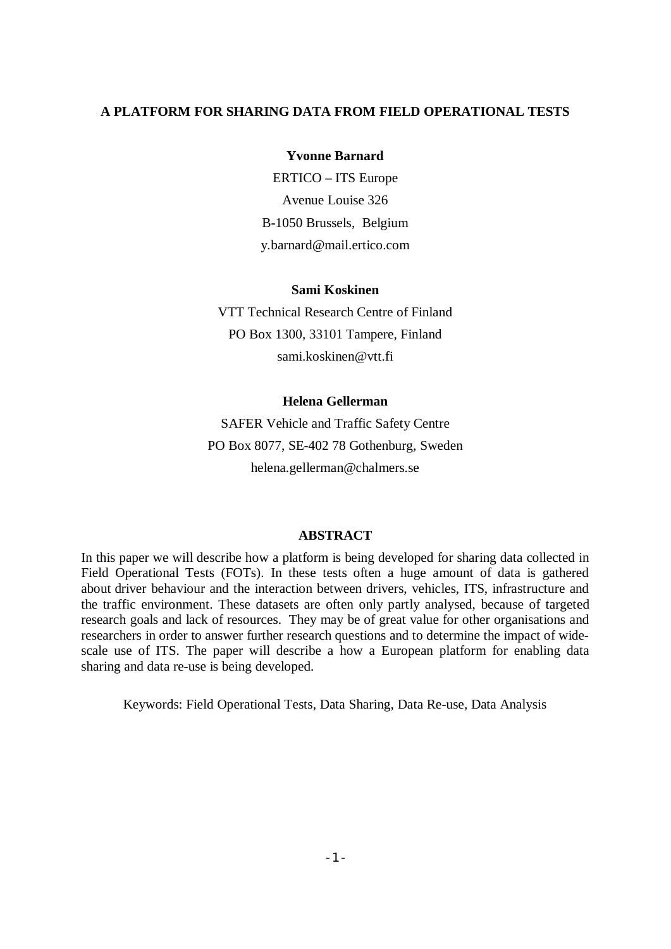# **A PLATFORM FOR SHARING DATA FROM FIELD OPERATIONAL TESTS**

### **Yvonne Barnard**

ERTICO – ITS Europe Avenue Louise 326 B-1050 Brussels, Belgium y.barnard@mail.ertico.com

## **Sami Koskinen**

VTT Technical Research Centre of Finland PO Box 1300, 33101 Tampere, Finland sami.koskinen@vtt.fi

#### **Helena Gellerman**

SAFER Vehicle and Traffic Safety Centre PO Box 8077, SE-402 78 Gothenburg, Sweden helena.gellerman@chalmers.se

#### **ABSTRACT**

In this paper we will describe how a platform is being developed for sharing data collected in Field Operational Tests (FOTs). In these tests often a huge amount of data is gathered about driver behaviour and the interaction between drivers, vehicles, ITS, infrastructure and the traffic environment. These datasets are often only partly analysed, because of targeted research goals and lack of resources. They may be of great value for other organisations and researchers in order to answer further research questions and to determine the impact of widescale use of ITS. The paper will describe a how a European platform for enabling data sharing and data re-use is being developed.

Keywords: Field Operational Tests, Data Sharing, Data Re-use, Data Analysis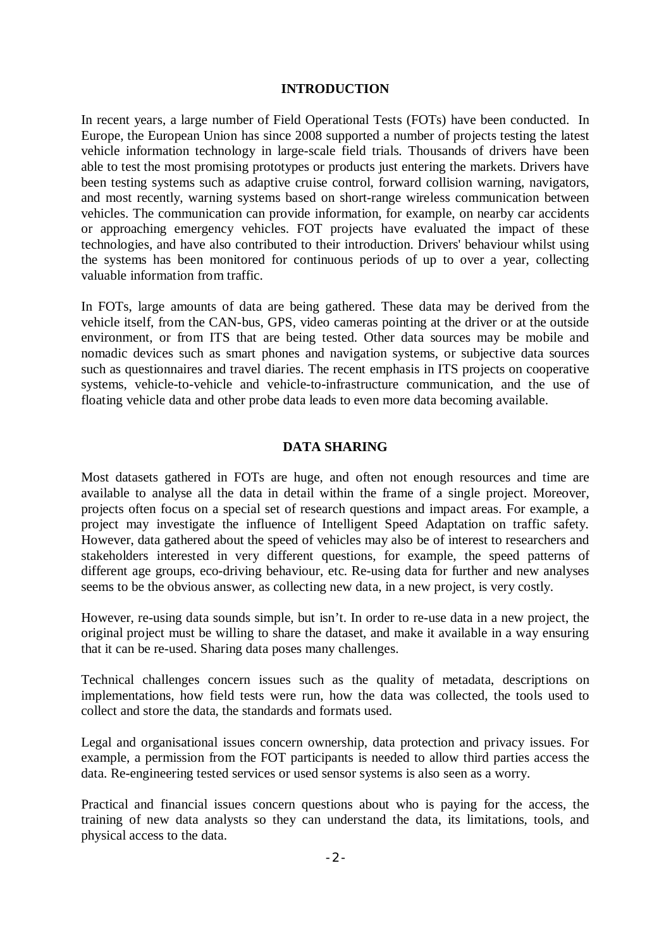### **INTRODUCTION**

In recent years, a large number of Field Operational Tests (FOTs) have been conducted. In Europe, the European Union has since 2008 supported a number of projects testing the latest vehicle information technology in large-scale field trials. Thousands of drivers have been able to test the most promising prototypes or products just entering the markets. Drivers have been testing systems such as adaptive cruise control, forward collision warning, navigators, and most recently, warning systems based on short-range wireless communication between vehicles. The communication can provide information, for example, on nearby car accidents or approaching emergency vehicles. FOT projects have evaluated the impact of these technologies, and have also contributed to their introduction. Drivers' behaviour whilst using the systems has been monitored for continuous periods of up to over a year, collecting valuable information from traffic.

In FOTs, large amounts of data are being gathered. These data may be derived from the vehicle itself, from the CAN-bus, GPS, video cameras pointing at the driver or at the outside environment, or from ITS that are being tested. Other data sources may be mobile and nomadic devices such as smart phones and navigation systems, or subjective data sources such as questionnaires and travel diaries. The recent emphasis in ITS projects on cooperative systems, vehicle-to-vehicle and vehicle-to-infrastructure communication, and the use of floating vehicle data and other probe data leads to even more data becoming available.

## **DATA SHARING**

Most datasets gathered in FOTs are huge, and often not enough resources and time are available to analyse all the data in detail within the frame of a single project. Moreover, projects often focus on a special set of research questions and impact areas. For example, a project may investigate the influence of Intelligent Speed Adaptation on traffic safety. However, data gathered about the speed of vehicles may also be of interest to researchers and stakeholders interested in very different questions, for example, the speed patterns of different age groups, eco-driving behaviour, etc. Re-using data for further and new analyses seems to be the obvious answer, as collecting new data, in a new project, is very costly.

However, re-using data sounds simple, but isn't. In order to re-use data in a new project, the original project must be willing to share the dataset, and make it available in a way ensuring that it can be re-used. Sharing data poses many challenges.

Technical challenges concern issues such as the quality of metadata, descriptions on implementations, how field tests were run, how the data was collected, the tools used to collect and store the data, the standards and formats used.

Legal and organisational issues concern ownership, data protection and privacy issues. For example, a permission from the FOT participants is needed to allow third parties access the data. Re-engineering tested services or used sensor systems is also seen as a worry.

Practical and financial issues concern questions about who is paying for the access, the training of new data analysts so they can understand the data, its limitations, tools, and physical access to the data.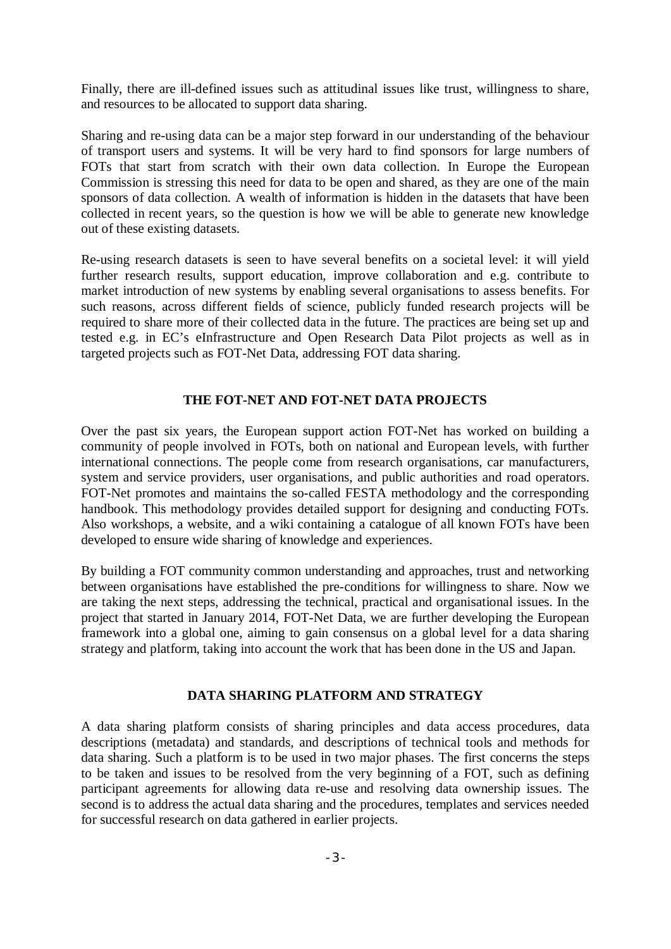Finally, there are ill-defined issues such as attitudinal issues like trust, willingness to share, and resources to be allocated to support data sharing.

Sharing and re-using data can be a major step forward in our understanding of the behaviour of transport users and systems. It will be very hard to find sponsors for large numbers of FOTs that start from scratch with their own data collection. In Europe the European Commission is stressing this need for data to be open and shared, as they are one of the main sponsors of data collection. A wealth of information is hidden in the datasets that have been collected in recent years, so the question is how we will be able to generate new knowledge out of these existing datasets.

Re-using research datasets is seen to have several benefits on a societal level: it will yield further research results, support education, improve collaboration and e.g. contribute to market introduction of new systems by enabling several organisations to assess benefits. For such reasons, across different fields of science, publicly funded research projects will be required to share more of their collected data in the future. The practices are being set up and tested e.g. in EC's eInfrastructure and Open Research Data Pilot projects as well as in targeted projects such as FOT-Net Data, addressing FOT data sharing.

## **THE FOT-NET AND FOT-NET DATA PROJECTS**

Over the past six years, the European support action FOT-Net has worked on building a community of people involved in FOTs, both on national and European levels, with further international connections. The people come from research organisations, car manufacturers, system and service providers, user organisations, and public authorities and road operators. FOT-Net promotes and maintains the so-called FESTA methodology and the corresponding handbook. This methodology provides detailed support for designing and conducting FOTs. Also workshops, a website, and a wiki containing a catalogue of all known FOTs have been developed to ensure wide sharing of knowledge and experiences.

By building a FOT community common understanding and approaches, trust and networking between organisations have established the pre-conditions for willingness to share. Now we are taking the next steps, addressing the technical, practical and organisational issues. In the project that started in January 2014, FOT-Net Data, we are further developing the European framework into a global one, aiming to gain consensus on a global level for a data sharing strategy and platform, taking into account the work that has been done in the US and Japan.

#### **DATA SHARING PLATFORM AND STRATEGY**

A data sharing platform consists of sharing principles and data access procedures, data descriptions (metadata) and standards, and descriptions of technical tools and methods for data sharing. Such a platform is to be used in two major phases. The first concerns the steps to be taken and issues to be resolved from the very beginning of a FOT, such as defining participant agreements for allowing data re-use and resolving data ownership issues. The second is to address the actual data sharing and the procedures, templates and services needed for successful research on data gathered in earlier projects.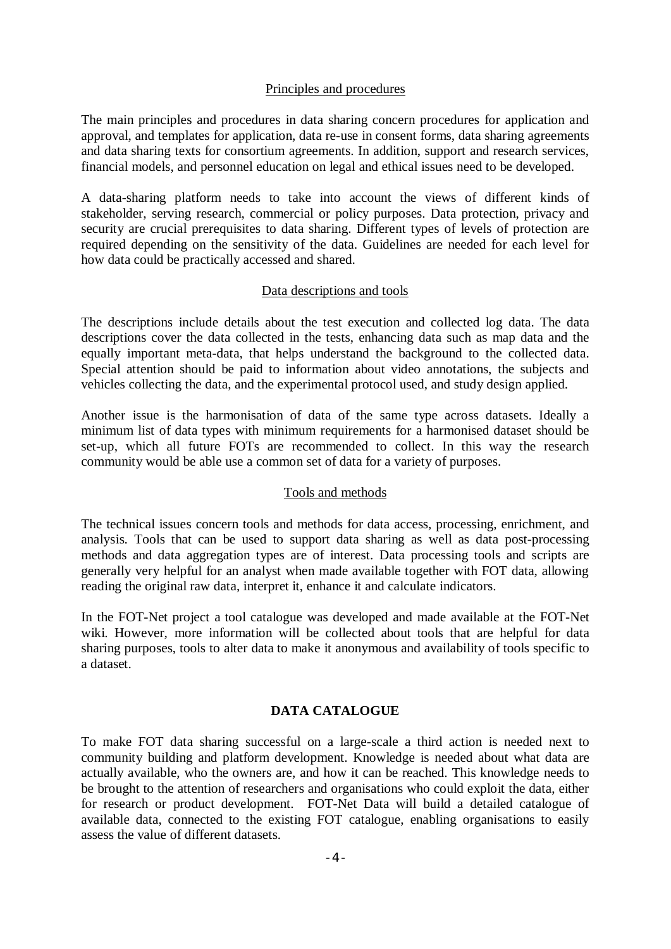## Principles and procedures

The main principles and procedures in data sharing concern procedures for application and approval, and templates for application, data re-use in consent forms, data sharing agreements and data sharing texts for consortium agreements. In addition, support and research services, financial models, and personnel education on legal and ethical issues need to be developed.

A data-sharing platform needs to take into account the views of different kinds of stakeholder, serving research, commercial or policy purposes. Data protection, privacy and security are crucial prerequisites to data sharing. Different types of levels of protection are required depending on the sensitivity of the data. Guidelines are needed for each level for how data could be practically accessed and shared.

## Data descriptions and tools

The descriptions include details about the test execution and collected log data. The data descriptions cover the data collected in the tests, enhancing data such as map data and the equally important meta-data, that helps understand the background to the collected data. Special attention should be paid to information about video annotations, the subjects and vehicles collecting the data, and the experimental protocol used, and study design applied.

Another issue is the harmonisation of data of the same type across datasets. Ideally a minimum list of data types with minimum requirements for a harmonised dataset should be set-up, which all future FOTs are recommended to collect. In this way the research community would be able use a common set of data for a variety of purposes.

## Tools and methods

The technical issues concern tools and methods for data access, processing, enrichment, and analysis. Tools that can be used to support data sharing as well as data post-processing methods and data aggregation types are of interest. Data processing tools and scripts are generally very helpful for an analyst when made available together with FOT data, allowing reading the original raw data, interpret it, enhance it and calculate indicators.

In the FOT-Net project a tool catalogue was developed and made available at the FOT-Net wiki. However, more information will be collected about tools that are helpful for data sharing purposes, tools to alter data to make it anonymous and availability of tools specific to a dataset.

## **DATA CATALOGUE**

To make FOT data sharing successful on a large-scale a third action is needed next to community building and platform development. Knowledge is needed about what data are actually available, who the owners are, and how it can be reached. This knowledge needs to be brought to the attention of researchers and organisations who could exploit the data, either for research or product development. FOT-Net Data will build a detailed catalogue of available data, connected to the existing FOT catalogue, enabling organisations to easily assess the value of different datasets.